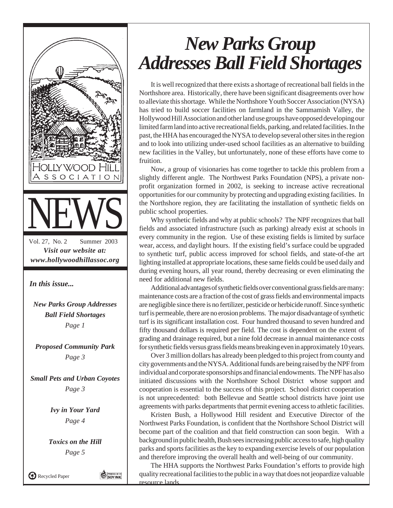

## *New Parks Group Addresses Ball Field Shortages*

It is well recognized that there exists a shortage of recreational ball fields in the Northshore area. Historically, there have been significant disagreements over how to alleviate this shortage. While the Northshore Youth Soccer Association (NYSA) has tried to build soccer facilities on farmland in the Sammamish Valley, the Hollywood Hill Association and other land use groups have opposed developing our limited farm land into active recreational fields, parking, and related facilities. In the past, the HHA has encouraged the NYSA to develop several other sites in the region and to look into utilizing under-used school facilities as an alternative to building new facilities in the Valley, but unfortunately, none of these efforts have come to fruition.

Now, a group of visionaries has come together to tackle this problem from a slightly different angle. The Northwest Parks Foundation (NPS), a private nonprofit organization formed in 2002, is seeking to increase active recreational opportunities for our community by protecting and upgrading existing facilities. In the Northshore region, they are facilitating the installation of synthetic fields on public school properties.

Why synthetic fields and why at public schools? The NPF recognizes that ball fields and associated infrastructure (such as parking) already exist at schools in every community in the region. Use of these existing fields is limited by surface wear, access, and daylight hours. If the existing field's surface could be upgraded to synthetic turf, public access improved for school fields, and state-of-the art lighting installed at appropriate locations, these same fields could be used daily and during evening hours, all year round, thereby decreasing or even eliminating the need for additional new fields.

Additional advantages of synthetic fields over conventional grass fields are many: maintenance costs are a fraction of the cost of grass fields and environmental impacts are negligible since there is no fertilizer, pesticide or herbicide runoff. Since synthetic turf is permeable, there are no erosion problems. The major disadvantage of synthetic turf is its significant installation cost. Four hundred thousand to seven hundred and fifty thousand dollars is required per field. The cost is dependent on the extent of grading and drainage required, but a nine fold decrease in annual maintenance costs for synthetic fields versus grass fields means breaking even in approximately 10 years.

Over 3 million dollars has already been pledged to this project from county and city governments and the NYSA. Additional funds are being raised by the NPF from individual and corporate sponsorships and financial endowments. The NPF has also initiated discussions with the Northshore School District whose support and cooperation is essential to the success of this project*.* School district cooperation is not unprecedented: both Bellevue and Seattle school districts have joint use agreements with parks departments that permit evening access to athletic facilities.

Kristen Bush, a Hollywood Hill resident and Executive Director of the Northwest Parks Foundation, is confident that the Northshore School District will become part of the coalition and that field construction can soon begin. With a background in public health, Bush sees increasing public access to safe, high quality parks and sports facilities as the key to expanding exercise levels of our population and therefore improving the overall health and well-being of our community.

The HHA supports the Northwest Parks Foundation's efforts to provide high quality recreational facilities to the public in a way that does not jeopardize valuable resource lands.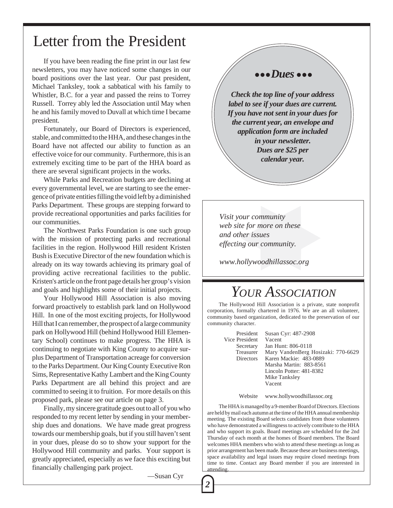### Letter from the President

If you have been reading the fine print in our last few newsletters, you may have noticed some changes in our board positions over the last year. Our past president, Michael Tanksley, took a sabbatical with his family to Whistler, B.C. for a year and passed the reins to Torrey Russell. Torrey ably led the Association until May when he and his family moved to Duvall at which time I became president.

Fortunately, our Board of Directors is experienced, stable, and committed to the HHA, and these changes in the Board have not affected our ability to function as an effective voice for our community. Furthermore, this is an extremely exciting time to be part of the HHA board as there are several significant projects in the works.

While Parks and Recreation budgets are declining at every governmental level, we are starting to see the emergence of private entities filling the void left by a diminished Parks Department. These groups are stepping forward to provide recreational opportunities and parks facilities for our communities.

The Northwest Parks Foundation is one such group with the mission of protecting parks and recreational facilities in the region. Hollywood Hill resident Kristen Bush is Executive Director of the new foundation which is already on its way towards achieving its primary goal of providing active recreational facilities to the public. Kristen's article on the front page details her group's vision and goals and highlights some of their initial projects.

Your Hollywood Hill Association is also moving forward proactively to establish park land on Hollywood Hill. In one of the most exciting projects, for Hollywood Hill that I can remember, the prospect of a large community park on Hollywood Hill (behind Hollywood Hill Elementary School) continues to make progress. The HHA is continuing to negotiate with King County to acquire surplus Department of Transportation acreage for conversion to the Parks Department. Our King County Executive Ron Sims, Representative Kathy Lambert and the King County Parks Department are all behind this project and are committed to seeing it to fruition. For more details on this proposed park, please see our article on page 3.

Finally, my sincere gratitude goes out to all of you who responded to my recent letter by sending in your membership dues and donations. We have made great progress towards our membership goals, but if you still haven't sent in your dues, please do so to show your support for the Hollywood Hill community and parks. Your support is greatly appreciated, especially as we face this exciting but financially challenging park project.

—Susan Cyr

*2*

#### ● ● ● *Dues* ● ● ●

*Check the top line of your address label to see if your dues are current. If you have not sent in your dues for the current year, an envelope and application form are included in your newsletter. Dues are \$25 per calendar year.*

*Visit your community web site for more on these and other issues effecting our community.*

*www.hollywoodhillassoc.org*

### *YOUR ASSOCIATION*

The Hollywood Hill Association is a private, state nonprofit corporation, formally chartered in 1976. We are an all volunteer, community based organization, dedicated to the preservation of our community character.

> President Susan Cyr: 487-2908 Vice President Vacent<br>Secretary Jan Hu Jan Hunt: 806-0118 Treasurer Mary VandenBerg Hosizaki: 770-6629 Directors Karen Mackie: 483-0889 Marsha Martin: 883-8561 Lincoln Potter: 481-8382 Mike Tanksley Vacent

> > Website www.hollywoodhillassoc.org

The HHA is managed by a 9-member Board of Directors. Elections are held by mail each autumn at the time of the HHA annual membership meeting. The existing Board selects candidates from those volunteers who have demonstrated a willingness to actively contribute to the HHA and who support its goals. Board meetings are scheduled for the 2nd Thursday of each month at the homes of Board members. The Board welcomes HHA members who wish to attend these meetings as long as prior arrangement has been made. Because these are business meetings, space availability and legal issues may require closed meetings from time to time. Contact any Board member if you are interested in attending.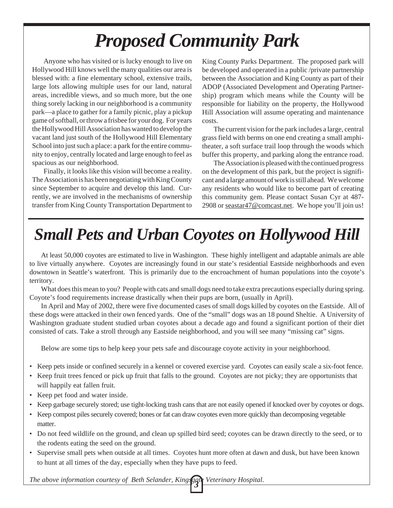# *Proposed Community Park*

Anyone who has visited or is lucky enough to live on Hollywood Hill knows well the many qualities our area is blessed with: a fine elementary school, extensive trails, large lots allowing multiple uses for our land, natural areas, incredible views, and so much more, but the one thing sorely lacking in our neighborhood is a community park—a place to gather for a family picnic, play a pickup game of softball, or throw a frisbee for your dog. For years the Hollywood Hill Association has wanted to develop the vacant land just south of the Hollywood Hill Elementary School into just such a place: a park for the entire community to enjoy, centrally located and large enough to feel as spacious as our neighborhood.

Finally, it looks like this vision will become a reality. The Association is has been negotiating with King County since September to acquire and develop this land. Currently, we are involved in the mechanisms of ownership transfer from King County Transportation Department to King County Parks Department. The proposed park will be developed and operated in a public /private partnership between the Association and King County as part of their ADOP (Associated Development and Operating Partnership) program which means while the County will be responsible for liability on the property, the Hollywood Hill Association will assume operating and maintenance costs.

The current vision for the park includes a large, central grass field with berms on one end creating a small amphitheater, a soft surface trail loop through the woods which buffer this property, and parking along the entrance road.

The Association is pleased with the continued progress on the development of this park, but the project is significant and a large amount of work is still ahead. We welcome any residents who would like to become part of creating this community gem. Please contact Susan Cyr at 487- 2908 or seastar47@comcast.net. We hope you'll join us!

# *Small Pets and Urban Coyotes on Hollywood Hill*

At least 50,000 coyotes are estimated to live in Washington. These highly intelligent and adaptable animals are able to live virtually anywhere. Coyotes are increasingly found in our state's residential Eastside neighborhoods and even downtown in Seattle's waterfront. This is primarily due to the encroachment of human populations into the coyote's territory.

What does this mean to you? People with cats and small dogs need to take extra precautions especially during spring. Coyote's food requirements increase drastically when their pups are born, (usually in April).

In April and May of 2002, there were five documented cases of small dogs killed by coyotes on the Eastside. All of these dogs were attacked in their own fenced yards. One of the "small" dogs was an 18 pound Sheltie. A University of Washington graduate student studied urban coyotes about a decade ago and found a significant portion of their diet consisted of cats. Take a stroll through any Eastside neighborhood, and you will see many "missing cat" signs.

Below are some tips to help keep your pets safe and discourage coyote activity in your neighborhood.

- Keep pets inside or confined securely in a kennel or covered exercise yard. Coyotes can easily scale a six-foot fence.
- Keep fruit trees fenced or pick up fruit that falls to the ground. Coyotes are not picky; they are opportunists that will happily eat fallen fruit.
- Keep pet food and water inside.
- Keep garbage securely stored; use tight-locking trash cans that are not easily opened if knocked over by coyotes or dogs.
- Keep compost piles securely covered; bones or fat can draw coyotes even more quickly than decomposing vegetable matter.
- Do not feed wildlife on the ground, and clean up spilled bird seed; coyotes can be drawn directly to the seed, or to the rodents eating the seed on the ground.
- Supervise small pets when outside at all times. Coyotes hunt more often at dawn and dusk, but have been known to hunt at all times of the day, especially when they have pups to feed.

*The above information courtesy of Beth Selander, Kingsgan Veterinary Hospital.*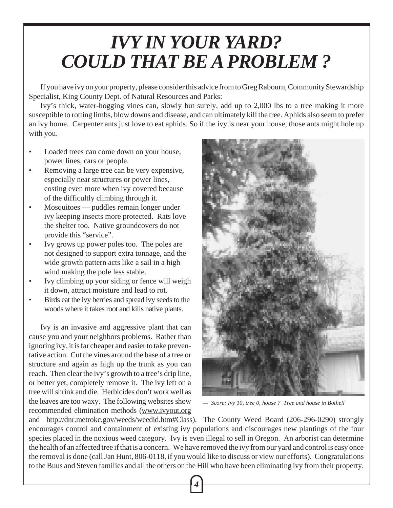# *IVY IN YOUR YARD? COULD THAT BE A PROBLEM ?*

If you have ivy on your property, please consider this advice from to Greg Rabourn, Community Stewardship Specialist, King County Dept. of Natural Resources and Parks:

Ivy's thick, water-hogging vines can, slowly but surely, add up to 2,000 lbs to a tree making it more susceptible to rotting limbs, blow downs and disease, and can ultimately kill the tree. Aphids also seem to prefer an ivy home. Carpenter ants just love to eat aphids. So if the ivy is near your house, those ants might hole up with you.

- Loaded trees can come down on your house, power lines, cars or people.
- Removing a large tree can be very expensive, especially near structures or power lines, costing even more when ivy covered because of the difficultly climbing through it.
- Mosquitoes puddles remain longer under ivy keeping insects more protected. Rats love the shelter too. Native groundcovers do not provide this "service".
- Ivy grows up power poles too. The poles are not designed to support extra tonnage, and the wide growth pattern acts like a sail in a high wind making the pole less stable.
- Ivy climbing up your siding or fence will weigh it down, attract moisture and lead to rot.
- Birds eat the ivy berries and spread ivy seeds to the woods where it takes root and kills native plants.

Ivy is an invasive and aggressive plant that can cause you and your neighbors problems. Rather than ignoring ivy, it is far cheaper and easier to take preventative action. Cut the vines around the base of a tree or structure and again as high up the trunk as you can reach. Then clear the ivy's growth to a tree's drip line, or better yet, completely remove it. The ivy left on a tree will shrink and die. Herbicides don't work well as the leaves are too waxy. The following websites show recommended elimination methods (www.ivyout.org



*— Score: Ivy 10, tree 0, house ? Tree and house in Bothell*

and http://dnr.metrokc.gov/weeds/weedid.htm#Class). The County Weed Board (206-296-0290) strongly encourages control and containment of existing ivy populations and discourages new plantings of the four species placed in the noxious weed category. Ivy is even illegal to sell in Oregon. An arborist can determine the health of an affected tree if that is a concern. We have removed the ivy from our yard and control is easy once the removal is done (call Jan Hunt, 806-0118, if you would like to discuss or view our efforts). Congratulations to the Buus and Steven families and all the others on the Hill who have been eliminating ivy from their property.

*4*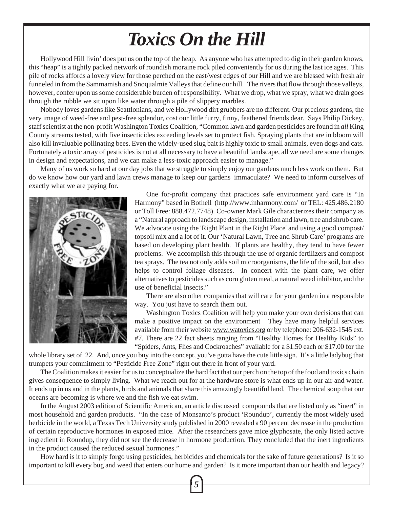## *Toxics On the Hill*

Hollywood Hill livin' does put us on the top of the heap. As anyone who has attempted to dig in their garden knows, this "heap" is a tightly packed network of roundish moraine rock piled conveniently for us during the last ice ages. This pile of rocks affords a lovely view for those perched on the east/west edges of our Hill and we are blessed with fresh air funneled in from the Sammamish and Snoqualmie Valleys that define our hill. The rivers that flow through those valleys, however, confer upon us some considerable burden of responsibility. What we drop, what we spray, what we drain goes through the rubble we sit upon like water through a pile of slippery marbles.

Nobody loves gardens like Seattlonians, and we Hollywood dirt grubbers are no different. Our precious gardens, the very image of weed-free and pest-free splendor, cost our little furry, finny, feathered friends dear. Says Philip Dickey, staff scientist at the non-profit Washington Toxics Coalition, "Common lawn and garden pesticides are found in *all* King County streams tested, with five insecticides exceeding levels set to protect fish. Spraying plants that are in bloom will also kill invaluable pollinating bees. Even the widely-used slug bait is highly toxic to small animals, even dogs and cats. Fortunately a toxic array of pesticides is not at all necessary to have a beautiful landscape, all we need are some changes in design and expectations, and we can make a less-toxic approach easier to manage."

Many of us work so hard at our day jobs that we struggle to simply enjoy our gardens much less work on them. But do we know how our yard and lawn crews manage to keep our gardens immaculate? We need to inform ourselves of exactly what we are paying for.



One for-profit company that practices safe environment yard care is "In Harmony" based in Bothell (http://www.inharmony.com/ or TEL: 425.486.2180 or Toll Free: 888.472.7748). Co-owner Mark Gile characterizes their company as a "Natural approach to landscape design, installation and lawn, tree and shrub care. We advocate using the 'Right Plant in the Right Place' and using a good compost/ topsoil mix and a lot of it. Our 'Natural Lawn, Tree and Shrub Care' programs are based on developing plant health. If plants are healthy, they tend to have fewer problems. We accomplish this through the use of organic fertilizers and compost tea sprays. The tea not only adds soil microorganisms, the life of the soil, but also helps to control foliage diseases. In concert with the plant care, we offer alternatives to pesticides such as corn gluten meal, a natural weed inhibitor, and the use of beneficial insects."

There are also other companies that will care for your garden in a responsible way. You just have to search them out.

Washington Toxics Coalition will help you make your own decisions that can make a positive impact on the environment They have many helpful services available from their website www.watoxics.org or by telephone: 206-632-1545 ext. #7. There are 22 fact sheets ranging from "Healthy Homes for Healthy Kids" to "Spiders, Ants, Flies and Cockroaches" available for a \$1.50 each or \$17.00 for the

whole library set of 22. And, once you buy into the concept, you've gotta have the cute little sign. It's a little ladybug that trumpets your commitment to "Pesticide Free Zone" right out there in front of your yard.

The Coalition makes it easier for us to conceptualize the hard fact that our perch on the top of the food and toxics chain gives consequence to simply living. What we reach out for at the hardware store is what ends up in our air and water. It ends up in us and in the plants, birds and animals that share this amazingly beautiful land. The chemical soup that our oceans are becoming is where we and the fish we eat swim.

In the August 2003 edition of Scientific American, an article discussed compounds that are listed only as "inert" in most household and garden products. "In the case of Monsanto's product 'Roundup', currently the most widely used herbicide in the world, a Texas Tech University study published in 2000 revealed a 90 percent decrease in the production of certain reproductive hormones in exposed mice. After the researchers gave mice glyphosate, the only listed active ingredient in Roundup, they did not see the decrease in hormone production. They concluded that the inert ingredients in the product caused the reduced sexual hormones."

How hard is it to simply forgo using pesticides, herbicides and chemicals for the sake of future generations? Is it so important to kill every bug and weed that enters our home and garden? Is it more important than our health and legacy?

*5*